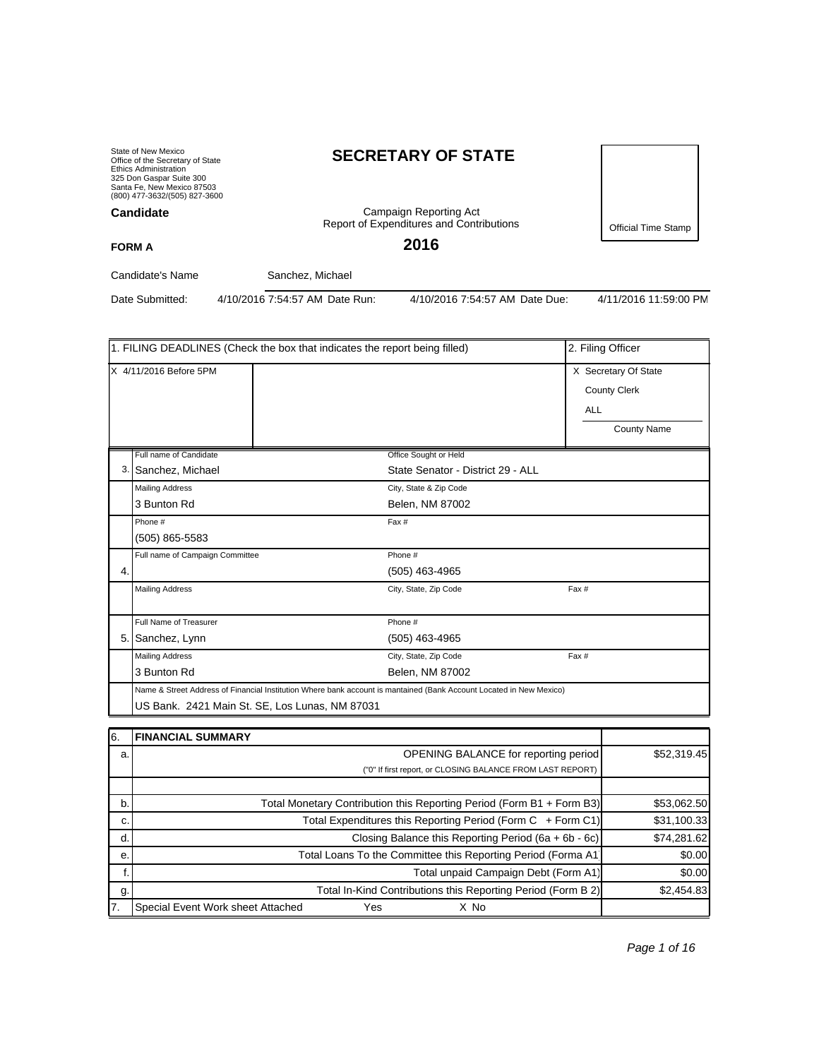State of New Mexico Office of the Secretary of State Ethics Administration 325 Don Gaspar Suite 300 Santa Fe, New Mexico 87503 (800) 477-3632/(505) 827-3600 **Candidate**

# **SECRETARY OF STATE**

Campaign Reporting Act Report of Expenditures and Contributions

**2016**

Official Time Stamp

**FORM A**

Candidate's Name Sanchez, Michael

Date Submitted: 4/10/2016 7:54:57 AM Date Run: 4/10/2016 7:54:57 AM Date Due: 4/11/2016 11:59:00 PM

|                        | 1. FILING DEADLINES (Check the box that indicates the report being filled) | 2. Filing Officer                                                                                                   |                                                                                 |  |  |  |
|------------------------|----------------------------------------------------------------------------|---------------------------------------------------------------------------------------------------------------------|---------------------------------------------------------------------------------|--|--|--|
| X 4/11/2016 Before 5PM |                                                                            |                                                                                                                     | X Secretary Of State<br><b>County Clerk</b><br><b>ALL</b><br><b>County Name</b> |  |  |  |
|                        | Full name of Candidate                                                     | Office Sought or Held                                                                                               |                                                                                 |  |  |  |
|                        | 3. Sanchez, Michael                                                        | State Senator - District 29 - ALL                                                                                   |                                                                                 |  |  |  |
|                        | <b>Mailing Address</b>                                                     | City, State & Zip Code                                                                                              |                                                                                 |  |  |  |
|                        | 3 Bunton Rd                                                                | Belen, NM 87002                                                                                                     |                                                                                 |  |  |  |
|                        | Phone #                                                                    | Fax #                                                                                                               |                                                                                 |  |  |  |
|                        | (505) 865-5583                                                             |                                                                                                                     |                                                                                 |  |  |  |
|                        | Full name of Campaign Committee                                            | Phone #                                                                                                             |                                                                                 |  |  |  |
| 4.                     |                                                                            | $(505)$ 463-4965                                                                                                    |                                                                                 |  |  |  |
|                        | <b>Mailing Address</b>                                                     | City, State, Zip Code                                                                                               | Fax #                                                                           |  |  |  |
|                        | Full Name of Treasurer                                                     | Phone #                                                                                                             |                                                                                 |  |  |  |
|                        | 5. Sanchez, Lynn                                                           | $(505)$ 463-4965                                                                                                    |                                                                                 |  |  |  |
|                        | <b>Mailing Address</b>                                                     | City, State, Zip Code                                                                                               | Fax #                                                                           |  |  |  |
|                        | 3 Bunton Rd                                                                | Belen, NM 87002                                                                                                     |                                                                                 |  |  |  |
|                        |                                                                            | Name & Street Address of Financial Institution Where bank account is mantained (Bank Account Located in New Mexico) |                                                                                 |  |  |  |
|                        |                                                                            | US Bank. 2421 Main St. SE, Los Lunas, NM 87031                                                                      |                                                                                 |  |  |  |
|                        |                                                                            |                                                                                                                     |                                                                                 |  |  |  |
| 6.                     | <b>FINANCIAL SUMMARY</b>                                                   |                                                                                                                     |                                                                                 |  |  |  |

| 16. | I FINANCIAL SUMMARY                                                   |             |
|-----|-----------------------------------------------------------------------|-------------|
| a.  | <b>OPENING BALANCE for reporting period</b>                           | \$52,319.45 |
|     | ("0" If first report, or CLOSING BALANCE FROM LAST REPORT)            |             |
|     |                                                                       |             |
| b.  | Total Monetary Contribution this Reporting Period (Form B1 + Form B3) | \$53,062.50 |
| C.  | Total Expenditures this Reporting Period (Form C + Form C1)           | \$31,100.33 |
| d.  | Closing Balance this Reporting Period (6a + 6b - 6c)                  | \$74,281.62 |
| е.  | Total Loans To the Committee this Reporting Period (Forma A1)         | \$0.00      |
|     | Total unpaid Campaign Debt (Form A1)                                  | \$0.00      |
| g.  | Total In-Kind Contributions this Reporting Period (Form B 2)          | \$2,454.83  |
| 17. | Special Event Work sheet Attached<br>Yes<br>X No                      |             |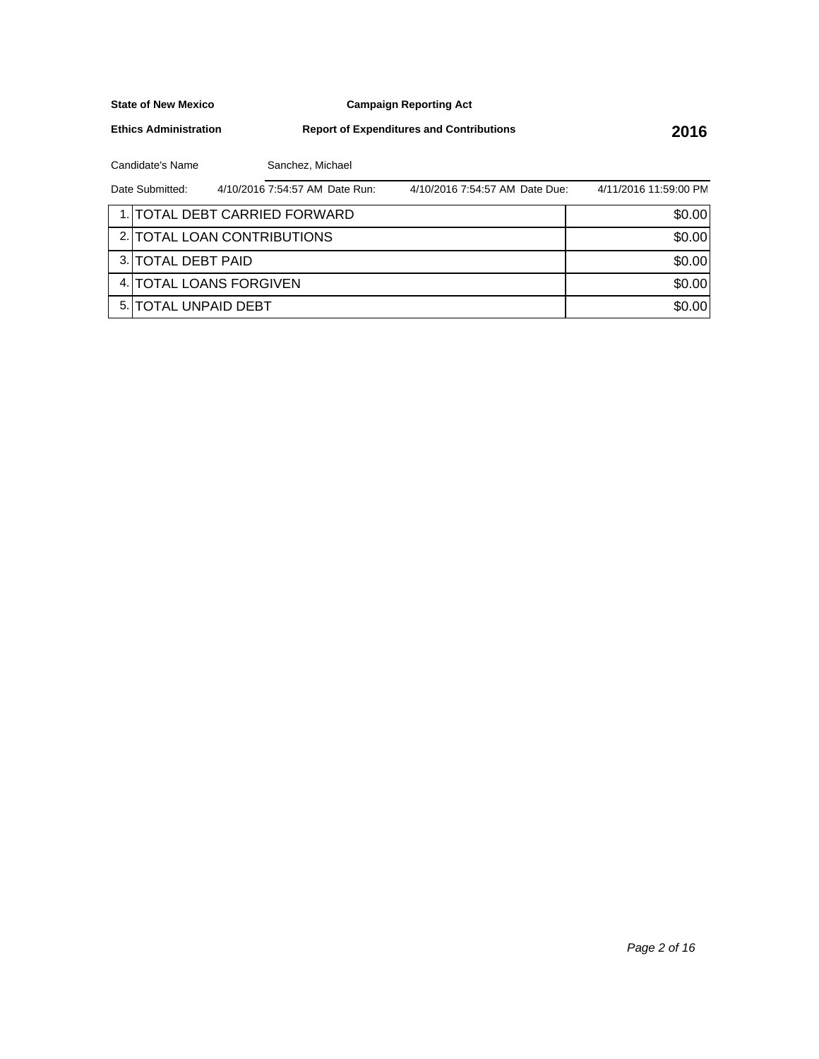**Campaign Reporting Act**

**Ethics Administration**

**Report of Expenditures and Contributions 2016**

Candidate's Name Sanchez, Michael

| Date Submitted:      | 4/10/2016 7:54:57 AM Date Run: | 4/10/2016 7:54:57 AM Date Due: | 4/11/2016 11:59:00 PM |
|----------------------|--------------------------------|--------------------------------|-----------------------|
|                      | 1. TOTAL DEBT CARRIED FORWARD  |                                | \$0.00                |
|                      | 2. TOTAL LOAN CONTRIBUTIONS    |                                | \$0.00                |
| 3. TOTAL DEBT PAID   |                                |                                | \$0.00                |
|                      | 4. TOTAL LOANS FORGIVEN        |                                | \$0.00                |
| 5. TOTAL UNPAID DEBT |                                |                                | \$0.00                |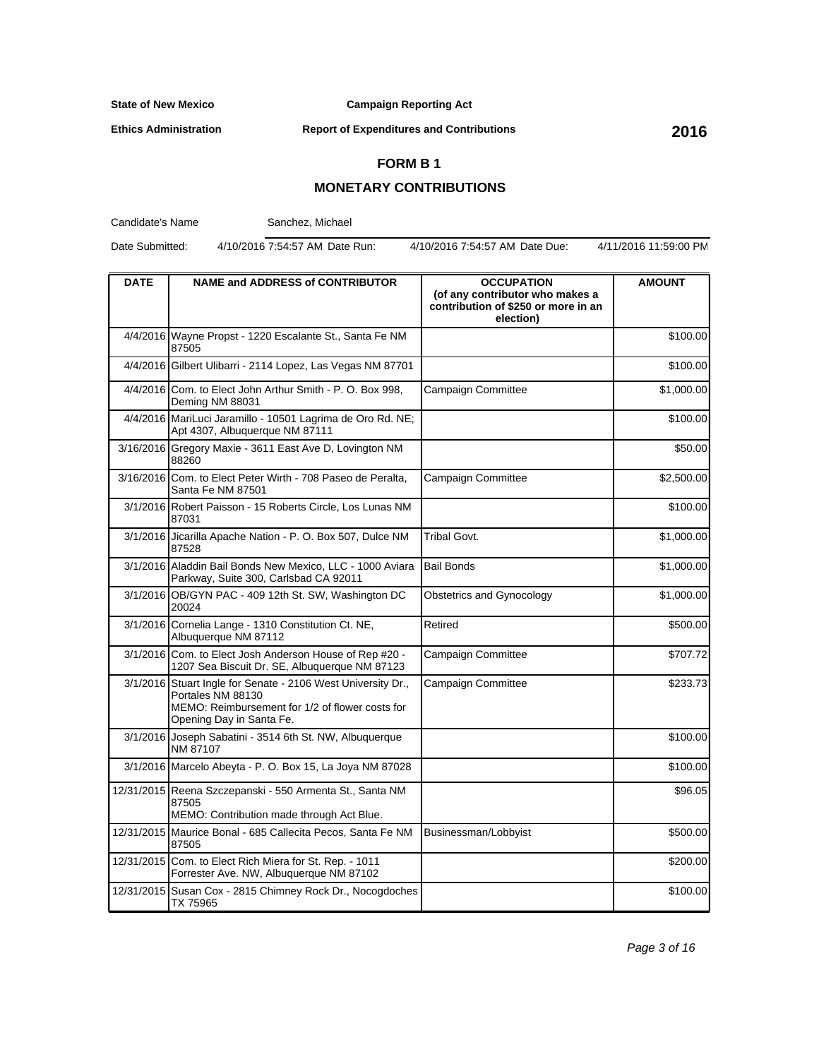**Campaign Reporting Act**

**Ethics Administration**

**Report of Expenditures and Contributions 2016**

## **FORM B 1**

## **MONETARY CONTRIBUTIONS**

Candidate's Name

Sanchez, Michael

Date Submitted: 4/10/2016 7:54:57 AM Date Run: 4/10/2016 7:54:57 AM Date Due: 4/11/2016 11:59:00 PM

| <b>DATE</b> | <b>NAME and ADDRESS of CONTRIBUTOR</b>                                                                                                                           | <b>OCCUPATION</b><br>(of any contributor who makes a<br>contribution of \$250 or more in an<br>election) | <b>AMOUNT</b> |
|-------------|------------------------------------------------------------------------------------------------------------------------------------------------------------------|----------------------------------------------------------------------------------------------------------|---------------|
|             | 4/4/2016 Wayne Propst - 1220 Escalante St., Santa Fe NM<br>87505                                                                                                 |                                                                                                          | \$100.00      |
|             | 4/4/2016 Gilbert Ulibarri - 2114 Lopez, Las Vegas NM 87701                                                                                                       |                                                                                                          | \$100.00      |
|             | 4/4/2016 Com. to Elect John Arthur Smith - P. O. Box 998,<br>Deming NM 88031                                                                                     | Campaign Committee                                                                                       | \$1,000.00    |
|             | 4/4/2016 MariLuci Jaramillo - 10501 Lagrima de Oro Rd. NE;<br>Apt 4307, Albuquerque NM 87111                                                                     |                                                                                                          | \$100.00      |
|             | 3/16/2016 Gregory Maxie - 3611 East Ave D, Lovington NM<br>88260                                                                                                 |                                                                                                          | \$50.00       |
|             | 3/16/2016 Com. to Elect Peter Wirth - 708 Paseo de Peralta,<br>Santa Fe NM 87501                                                                                 | Campaign Committee                                                                                       | \$2,500.00    |
|             | 3/1/2016 Robert Paisson - 15 Roberts Circle, Los Lunas NM<br>87031                                                                                               |                                                                                                          | \$100.00      |
|             | 3/1/2016 Jicarilla Apache Nation - P. O. Box 507, Dulce NM<br>87528                                                                                              | Tribal Govt.                                                                                             | \$1,000.00    |
|             | 3/1/2016 Aladdin Bail Bonds New Mexico, LLC - 1000 Aviara<br>Parkway, Suite 300, Carlsbad CA 92011                                                               | <b>Bail Bonds</b>                                                                                        | \$1,000.00    |
|             | 3/1/2016 OB/GYN PAC - 409 12th St. SW, Washington DC<br>20024                                                                                                    | Obstetrics and Gynocology                                                                                | \$1,000.00    |
|             | 3/1/2016 Cornelia Lange - 1310 Constitution Ct. NE,<br>Albuquerque NM 87112                                                                                      | Retired                                                                                                  | \$500.00      |
|             | 3/1/2016 Com. to Elect Josh Anderson House of Rep #20 -<br>1207 Sea Biscuit Dr. SE, Albuquerque NM 87123                                                         | Campaign Committee                                                                                       | \$707.72      |
|             | 3/1/2016 Stuart Ingle for Senate - 2106 West University Dr.,<br>Portales NM 88130<br>MEMO: Reimbursement for 1/2 of flower costs for<br>Opening Day in Santa Fe. | Campaign Committee                                                                                       | \$233.73      |
|             | 3/1/2016 Joseph Sabatini - 3514 6th St. NW, Albuquerque<br>NM 87107                                                                                              |                                                                                                          | \$100.00      |
|             | 3/1/2016 Marcelo Abeyta - P. O. Box 15, La Joya NM 87028                                                                                                         |                                                                                                          | \$100.00      |
|             | 12/31/2015 Reena Szczepanski - 550 Armenta St., Santa NM<br>87505<br>MEMO: Contribution made through Act Blue.                                                   |                                                                                                          | \$96.05       |
|             | 12/31/2015 Maurice Bonal - 685 Callecita Pecos, Santa Fe NM<br>87505                                                                                             | Businessman/Lobbyist                                                                                     | \$500.00      |
|             | 12/31/2015 Com. to Elect Rich Miera for St. Rep. - 1011<br>Forrester Ave. NW, Albuquerque NM 87102                                                               |                                                                                                          | \$200.00      |
|             | 12/31/2015 Susan Cox - 2815 Chimney Rock Dr., Nocogdoches<br>TX 75965                                                                                            |                                                                                                          | \$100.00      |

Page 3 of 16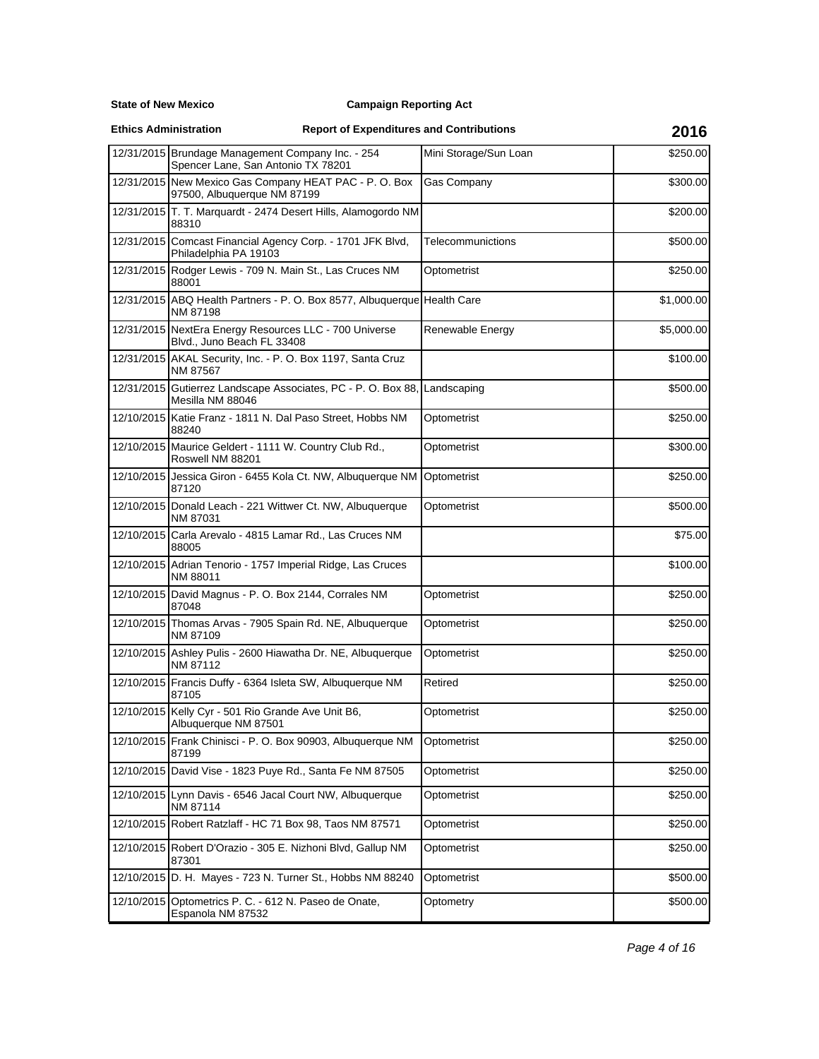## **Campaign Reporting Act**

**Ethics Administration**

|            | 12/31/2015 Brundage Management Company Inc. - 254<br>Spencer Lane, San Antonio TX 78201       | Mini Storage/Sun Loan | \$250.00   |
|------------|-----------------------------------------------------------------------------------------------|-----------------------|------------|
|            | 12/31/2015 New Mexico Gas Company HEAT PAC - P. O. Box<br>97500, Albuquerque NM 87199         | <b>Gas Company</b>    | \$300.00   |
|            | 12/31/2015 T. T. Marquardt - 2474 Desert Hills, Alamogordo NM<br>88310                        |                       | \$200.00   |
|            | 12/31/2015 Comcast Financial Agency Corp. - 1701 JFK Blvd,<br>Philadelphia PA 19103           | Telecommunictions     | \$500.00   |
|            | 12/31/2015 Rodger Lewis - 709 N. Main St., Las Cruces NM<br>88001                             | Optometrist           | \$250.00   |
|            | 12/31/2015 ABQ Health Partners - P. O. Box 8577, Albuquerque Health Care<br>NM 87198          |                       | \$1,000.00 |
|            | 12/31/2015 NextEra Energy Resources LLC - 700 Universe<br>Blvd., Juno Beach FL 33408          | Renewable Energy      | \$5,000.00 |
|            | 12/31/2015 AKAL Security, Inc. - P. O. Box 1197, Santa Cruz<br>NM 87567                       |                       | \$100.00   |
|            | 12/31/2015 Gutierrez Landscape Associates, PC - P. O. Box 88, Landscaping<br>Mesilla NM 88046 |                       | \$500.00   |
|            | 12/10/2015 Katie Franz - 1811 N. Dal Paso Street, Hobbs NM<br>88240                           | Optometrist           | \$250.00   |
|            | 12/10/2015 Maurice Geldert - 1111 W. Country Club Rd.,<br>Roswell NM 88201                    | Optometrist           | \$300.00   |
|            | 12/10/2015 Jessica Giron - 6455 Kola Ct. NW, Albuquerque NM<br>87120                          | Optometrist           | \$250.00   |
|            | 12/10/2015 Donald Leach - 221 Wittwer Ct. NW, Albuquerque<br>NM 87031                         | Optometrist           | \$500.00   |
| 12/10/2015 | Carla Arevalo - 4815 Lamar Rd., Las Cruces NM<br>88005                                        |                       | \$75.00    |
|            | 12/10/2015 Adrian Tenorio - 1757 Imperial Ridge, Las Cruces<br>NM 88011                       |                       | \$100.00   |
|            | 12/10/2015 David Magnus - P. O. Box 2144, Corrales NM<br>87048                                | Optometrist           | \$250.00   |
|            | 12/10/2015 Thomas Arvas - 7905 Spain Rd. NE, Albuquerque<br>NM 87109                          | Optometrist           | \$250.00   |
|            | 12/10/2015 Ashley Pulis - 2600 Hiawatha Dr. NE, Albuquerque<br>NM 87112                       | Optometrist           | \$250.00   |
|            | 12/10/2015 Francis Duffy - 6364 Isleta SW, Albuquerque NM<br>87105                            | Retired               | \$250.00   |
|            | 12/10/2015 Kelly Cyr - 501 Rio Grande Ave Unit B6,<br>Albuquerque NM 87501                    | Optometrist           | \$250.00   |
|            | 12/10/2015 Frank Chinisci - P. O. Box 90903, Albuquerque NM<br>87199                          | Optometrist           | \$250.00   |
|            | 12/10/2015 David Vise - 1823 Puye Rd., Santa Fe NM 87505                                      | Optometrist           | \$250.00   |
|            | 12/10/2015 Lynn Davis - 6546 Jacal Court NW, Albuquerque<br>NM 87114                          | Optometrist           | \$250.00   |
|            | 12/10/2015 Robert Ratzlaff - HC 71 Box 98, Taos NM 87571                                      | Optometrist           | \$250.00   |
|            | 12/10/2015 Robert D'Orazio - 305 E. Nizhoni Blvd, Gallup NM<br>87301                          | Optometrist           | \$250.00   |
|            | 12/10/2015 D. H. Mayes - 723 N. Turner St., Hobbs NM 88240                                    | Optometrist           | \$500.00   |
|            | 12/10/2015 Optometrics P. C. - 612 N. Paseo de Onate,<br>Espanola NM 87532                    | Optometry             | \$500.00   |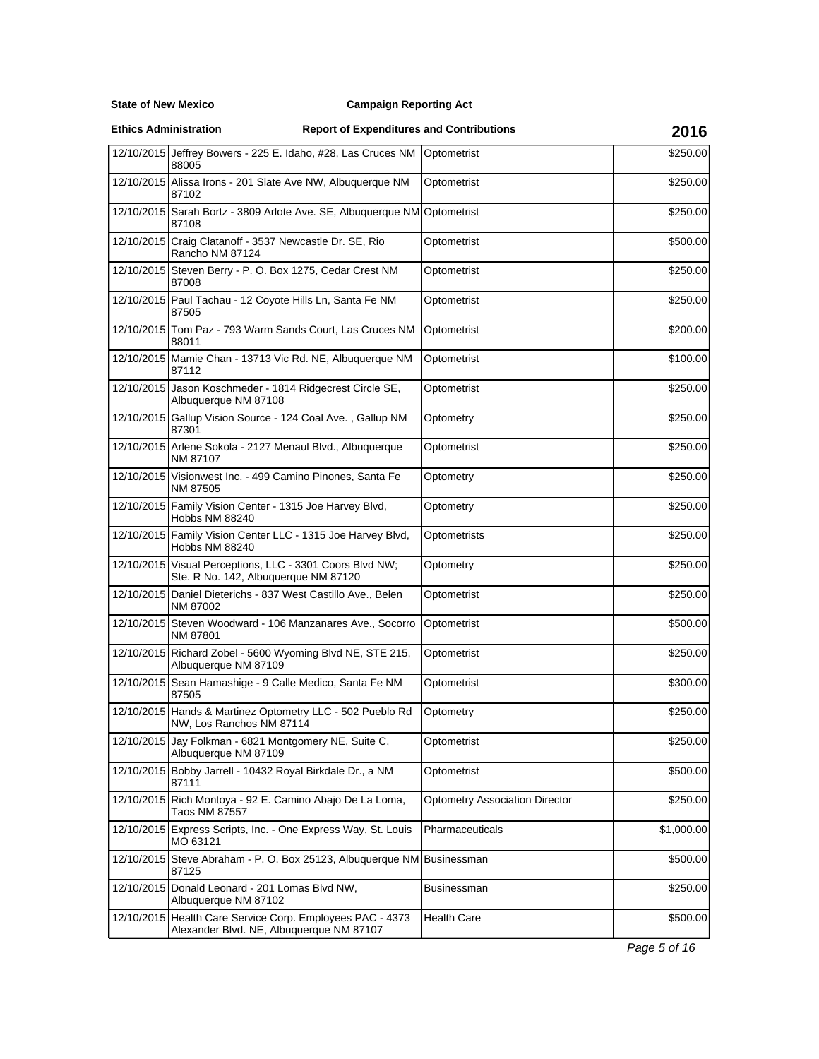## **Campaign Reporting Act**

**Ethics Administration**

# **Report of Expenditures and Contributions 2016**

|            | 12/10/2015 Jeffrey Bowers - 225 E. Idaho, #28, Las Cruces NM<br>88005                                 | Optometrist                           | \$250.00   |
|------------|-------------------------------------------------------------------------------------------------------|---------------------------------------|------------|
|            | 12/10/2015 Alissa Irons - 201 Slate Ave NW, Albuguerque NM<br>87102                                   | Optometrist                           | \$250.00   |
|            | 12/10/2015 Sarah Bortz - 3809 Arlote Ave. SE, Albuquerque NM Optometrist<br>87108                     |                                       | \$250.00   |
|            | 12/10/2015 Craig Clatanoff - 3537 Newcastle Dr. SE, Rio<br>Rancho NM 87124                            | Optometrist                           | \$500.00   |
|            | 12/10/2015 Steven Berry - P. O. Box 1275, Cedar Crest NM<br>87008                                     | Optometrist                           | \$250.00   |
|            | 12/10/2015 Paul Tachau - 12 Coyote Hills Ln, Santa Fe NM<br>87505                                     | Optometrist                           | \$250.00   |
|            | 12/10/2015 Tom Paz - 793 Warm Sands Court, Las Cruces NM<br>88011                                     | Optometrist                           | \$200.00   |
|            | 12/10/2015 Mamie Chan - 13713 Vic Rd. NE, Albuquerque NM<br>87112                                     | Optometrist                           | \$100.00   |
|            | 12/10/2015 Jason Koschmeder - 1814 Ridgecrest Circle SE,<br>Albuquerque NM 87108                      | Optometrist                           | \$250.00   |
|            | 12/10/2015 Gallup Vision Source - 124 Coal Ave., Gallup NM<br>87301                                   | Optometry                             | \$250.00   |
|            | 12/10/2015 Arlene Sokola - 2127 Menaul Blvd., Albuquerque<br>NM 87107                                 | Optometrist                           | \$250.00   |
|            | 12/10/2015 Visionwest Inc. - 499 Camino Pinones, Santa Fe<br>NM 87505                                 | Optometry                             | \$250.00   |
|            | 12/10/2015 Family Vision Center - 1315 Joe Harvey Blvd,<br>Hobbs NM 88240                             | Optometry                             | \$250.00   |
|            | 12/10/2015 Family Vision Center LLC - 1315 Joe Harvey Blvd,<br>Hobbs NM 88240                         | Optometrists                          | \$250.00   |
|            | 12/10/2015 Visual Perceptions, LLC - 3301 Coors Blvd NW;<br>Ste. R No. 142, Albuquerque NM 87120      | Optometry                             | \$250.00   |
|            | 12/10/2015 Daniel Dieterichs - 837 West Castillo Ave., Belen<br>NM 87002                              | Optometrist                           | \$250.00   |
|            | 12/10/2015 Steven Woodward - 106 Manzanares Ave., Socorro<br>NM 87801                                 | Optometrist                           | \$500.00   |
|            | 12/10/2015 Richard Zobel - 5600 Wyoming Blvd NE, STE 215,<br>Albuquerque NM 87109                     | Optometrist                           | \$250.00   |
|            | 12/10/2015 Sean Hamashige - 9 Calle Medico, Santa Fe NM<br>87505                                      | Optometrist                           | \$300.00   |
|            | 12/10/2015 Hands & Martinez Optometry LLC - 502 Pueblo Rd<br>NW, Los Ranchos NM 87114                 | Optometry                             | \$250.00   |
|            | 12/10/2015 Jay Folkman - 6821 Montgomery NE, Suite C,<br>Albuquerque NM 87109                         | Optometrist                           | \$250.00   |
|            | 12/10/2015 Bobby Jarrell - 10432 Royal Birkdale Dr., a NM<br>87111                                    | Optometrist                           | \$500.00   |
|            | 12/10/2015 Rich Montoya - 92 E. Camino Abajo De La Loma,<br>Taos NM 87557                             | <b>Optometry Association Director</b> | \$250.00   |
|            | 12/10/2015 Express Scripts, Inc. - One Express Way, St. Louis<br>MO 63121                             | Pharmaceuticals                       | \$1,000.00 |
|            | 12/10/2015 Steve Abraham - P. O. Box 25123, Albuquerque NM Businessman<br>87125                       |                                       | \$500.00   |
| 12/10/2015 | Donald Leonard - 201 Lomas Blvd NW,<br>Albuquerque NM 87102                                           | Businessman                           | \$250.00   |
|            | 12/10/2015 Health Care Service Corp. Employees PAC - 4373<br>Alexander Blvd. NE, Albuquerque NM 87107 | Health Care                           | \$500.00   |

Page 5 of 16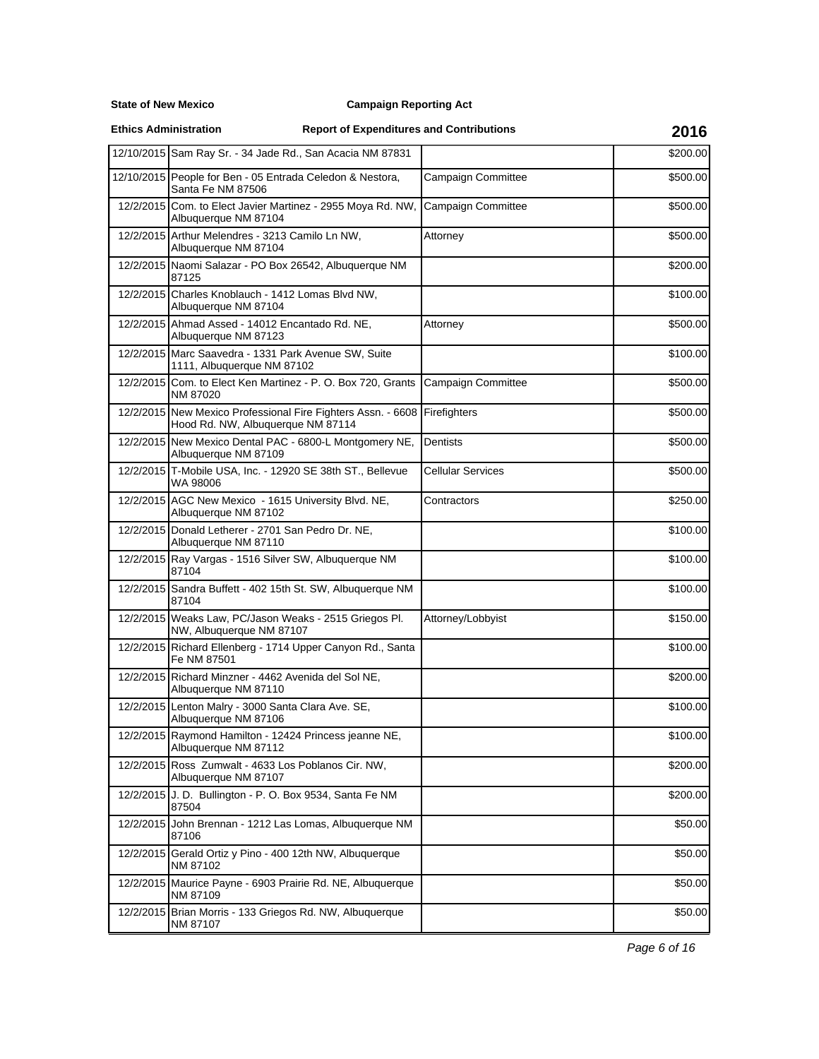**State of New Mexico**

**Ethics Administration**

|           | 12/10/2015 Sam Ray Sr. - 34 Jade Rd., San Acacia NM 87831                                         |                           | \$200.00 |
|-----------|---------------------------------------------------------------------------------------------------|---------------------------|----------|
|           | 12/10/2015 People for Ben - 05 Entrada Celedon & Nestora,<br>Santa Fe NM 87506                    | <b>Campaign Committee</b> | \$500.00 |
| 12/2/2015 | Com. to Elect Javier Martinez - 2955 Moya Rd. NW,<br>Albuquerque NM 87104                         | <b>Campaign Committee</b> | \$500.00 |
|           | 12/2/2015 Arthur Melendres - 3213 Camilo Ln NW,<br>Albuquerque NM 87104                           | Attorney                  | \$500.00 |
|           | 12/2/2015 Naomi Salazar - PO Box 26542, Albuquerque NM<br>87125                                   |                           | \$200.00 |
| 12/2/2015 | Charles Knoblauch - 1412 Lomas Blvd NW,<br>Albuquerque NM 87104                                   |                           | \$100.00 |
|           | 12/2/2015 Ahmad Assed - 14012 Encantado Rd. NE,<br>Albuquerque NM 87123                           | Attorney                  | \$500.00 |
|           | 12/2/2015 Marc Saavedra - 1331 Park Avenue SW, Suite<br>1111, Albuquerque NM 87102                |                           | \$100.00 |
| 12/2/2015 | Com. to Elect Ken Martinez - P. O. Box 720, Grants<br>NM 87020                                    | <b>Campaign Committee</b> | \$500.00 |
|           | 12/2/2015 New Mexico Professional Fire Fighters Assn. - 6608<br>Hood Rd. NW, Albuquerque NM 87114 | Firefighters              | \$500.00 |
|           | 12/2/2015 New Mexico Dental PAC - 6800-L Montgomery NE,<br>Albuquerque NM 87109                   | Dentists                  | \$500.00 |
| 12/2/2015 | T-Mobile USA, Inc. - 12920 SE 38th ST., Bellevue<br>WA 98006                                      | Cellular Services         | \$500.00 |
|           | 12/2/2015 AGC New Mexico - 1615 University Blvd. NE,<br>Albuquerque NM 87102                      | Contractors               | \$250.00 |
|           | 12/2/2015 Donald Letherer - 2701 San Pedro Dr. NE,<br>Albuquerque NM 87110                        |                           | \$100.00 |
|           | 12/2/2015 Ray Vargas - 1516 Silver SW, Albuquerque NM<br>87104                                    |                           | \$100.00 |
|           | 12/2/2015 Sandra Buffett - 402 15th St. SW, Albuquerque NM<br>87104                               |                           | \$100.00 |
|           | 12/2/2015 Weaks Law, PC/Jason Weaks - 2515 Griegos Pl.<br>NW, Albuquerque NM 87107                | Attorney/Lobbyist         | \$150.00 |
| 12/2/2015 | Richard Ellenberg - 1714 Upper Canyon Rd., Santa<br>Fe NM 87501                                   |                           | \$100.00 |
|           | 12/2/2015 Richard Minzner - 4462 Avenida del Sol NE,<br>Albuquerque NM 87110                      |                           | \$200.00 |
|           | 12/2/2015 Lenton Malry - 3000 Santa Clara Ave. SE,<br>Albuquerque NM 87106                        |                           | \$100.00 |
|           | 12/2/2015 Raymond Hamilton - 12424 Princess jeanne NE,<br>Albuquerque NM 87112                    |                           | \$100.00 |
|           | 12/2/2015 Ross Zumwalt - 4633 Los Poblanos Cir. NW,<br>Albuquerque NM 87107                       |                           | \$200.00 |
|           | 12/2/2015 J. D. Bullington - P. O. Box 9534, Santa Fe NM<br>87504                                 |                           | \$200.00 |
| 12/2/2015 | John Brennan - 1212 Las Lomas, Albuquerque NM<br>87106                                            |                           | \$50.00  |
| 12/2/2015 | Gerald Ortiz y Pino - 400 12th NW, Albuquerque<br>NM 87102                                        |                           | \$50.00  |
|           | 12/2/2015 Maurice Payne - 6903 Prairie Rd. NE, Albuquerque<br>NM 87109                            |                           | \$50.00  |
| 12/2/2015 | Brian Morris - 133 Griegos Rd. NW, Albuquerque<br>NM 87107                                        |                           | \$50.00  |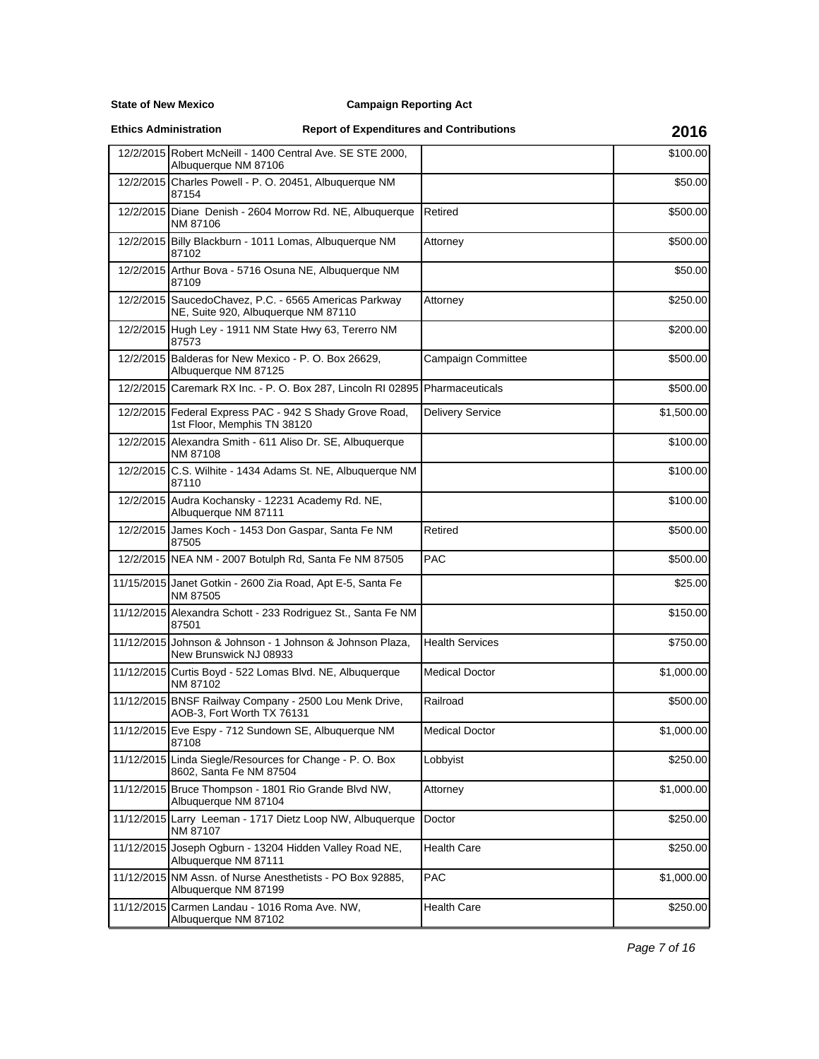**State of New Mexico**

**Ethics Administration**

|            | 12/2/2015 Robert McNeill - 1400 Central Ave. SE STE 2000,<br>Albuquerque NM 87106            |                           | \$100.00   |
|------------|----------------------------------------------------------------------------------------------|---------------------------|------------|
| 12/2/2015  | Charles Powell - P. O. 20451, Albuquerque NM<br>87154                                        |                           | \$50.00    |
|            | 12/2/2015 Diane Denish - 2604 Morrow Rd. NE, Albuquerque<br>NM 87106                         | Retired                   | \$500.00   |
|            | 12/2/2015 Billy Blackburn - 1011 Lomas, Albuquerque NM<br>87102                              | Attorney                  | \$500.00   |
|            | 12/2/2015 Arthur Bova - 5716 Osuna NE, Albuquerque NM<br>87109                               |                           | \$50.00    |
|            | 12/2/2015 SaucedoChavez, P.C. - 6565 Americas Parkway<br>NE, Suite 920, Albuquerque NM 87110 | Attorney                  | \$250.00   |
|            | 12/2/2015 Hugh Ley - 1911 NM State Hwy 63, Tererro NM<br>87573                               |                           | \$200.00   |
|            | 12/2/2015 Balderas for New Mexico - P. O. Box 26629,<br>Albuquerque NM 87125                 | <b>Campaign Committee</b> | \$500.00   |
|            | 12/2/2015 Caremark RX Inc. - P. O. Box 287, Lincoln RI 02895 Pharmaceuticals                 |                           | \$500.00   |
|            | 12/2/2015 Federal Express PAC - 942 S Shady Grove Road,<br>1st Floor, Memphis TN 38120       | Delivery Service          | \$1,500.00 |
|            | 12/2/2015 Alexandra Smith - 611 Aliso Dr. SE, Albuquerque<br>NM 87108                        |                           | \$100.00   |
|            | 12/2/2015 C.S. Wilhite - 1434 Adams St. NE, Albuquerque NM<br>87110                          |                           | \$100.00   |
|            | 12/2/2015 Audra Kochansky - 12231 Academy Rd. NE,<br>Albuquerque NM 87111                    |                           | \$100.00   |
|            | 12/2/2015 James Koch - 1453 Don Gaspar, Santa Fe NM<br>87505                                 | Retired                   | \$500.00   |
|            | 12/2/2015 NEA NM - 2007 Botulph Rd, Santa Fe NM 87505                                        | PAC                       | \$500.00   |
|            | 11/15/2015 Janet Gotkin - 2600 Zia Road, Apt E-5, Santa Fe<br>NM 87505                       |                           | \$25.00    |
|            | 11/12/2015 Alexandra Schott - 233 Rodriguez St., Santa Fe NM<br>87501                        |                           | \$150.00   |
|            | 11/12/2015 Johnson & Johnson - 1 Johnson & Johnson Plaza,<br>New Brunswick NJ 08933          | <b>Health Services</b>    | \$750.00   |
|            | 11/12/2015 Curtis Boyd - 522 Lomas Blvd. NE, Albuquerque<br>NM 87102                         | <b>Medical Doctor</b>     | \$1,000.00 |
|            | 11/12/2015 BNSF Railway Company - 2500 Lou Menk Drive,<br>AOB-3, Fort Worth TX 76131         | Railroad                  | \$500.00   |
|            | 11/12/2015 Eve Espy - 712 Sundown SE, Albuquerque NM<br>87108                                | <b>Medical Doctor</b>     | \$1,000.00 |
| 11/12/2015 | Linda Siegle/Resources for Change - P. O. Box<br>8602, Santa Fe NM 87504                     | Lobbyist                  | \$250.00   |
|            | 11/12/2015 Bruce Thompson - 1801 Rio Grande Blvd NW,<br>Albuquerque NM 87104                 | Attorney                  | \$1,000.00 |
|            | 11/12/2015 Larry Leeman - 1717 Dietz Loop NW, Albuquerque<br>NM 87107                        | Doctor                    | \$250.00   |
| 11/12/2015 | Joseph Ogburn - 13204 Hidden Valley Road NE,<br>Albuquerque NM 87111                         | <b>Health Care</b>        | \$250.00   |
|            | 11/12/2015 NM Assn. of Nurse Anesthetists - PO Box 92885.<br>Albuquerque NM 87199            | PAC                       | \$1,000.00 |
|            | 11/12/2015 Carmen Landau - 1016 Roma Ave. NW,<br>Albuquerque NM 87102                        | <b>Health Care</b>        | \$250.00   |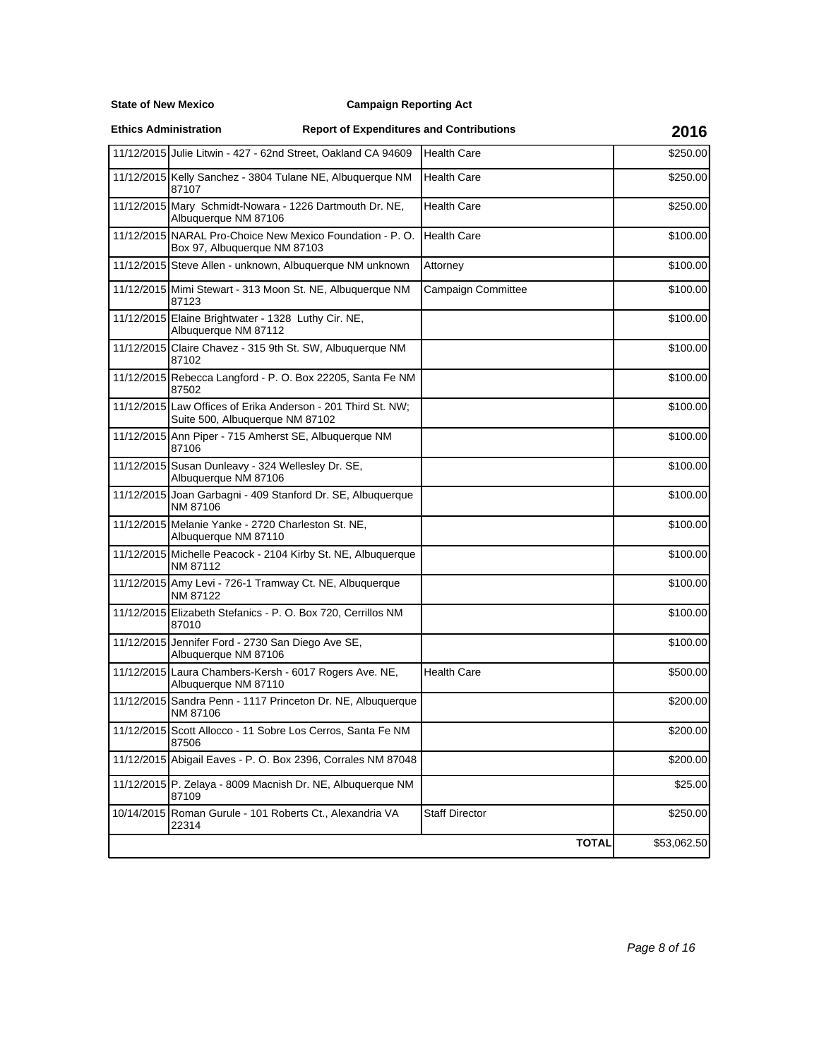**State of New Mexico**

**Ethics Administration**

| 11/12/2015 Julie Litwin - 427 - 62nd Street, Oakland CA 94609                                   | <b>Health Care</b>        | \$250.00    |
|-------------------------------------------------------------------------------------------------|---------------------------|-------------|
| 11/12/2015 Kelly Sanchez - 3804 Tulane NE, Albuquerque NM<br>87107                              | <b>Health Care</b>        | \$250.00    |
| 11/12/2015 Mary Schmidt-Nowara - 1226 Dartmouth Dr. NE,<br>Albuquerque NM 87106                 | Health Care               | \$250.00    |
| 11/12/2015 NARAL Pro-Choice New Mexico Foundation - P.O.<br>Box 97, Albuquerque NM 87103        | <b>Health Care</b>        | \$100.00    |
| 11/12/2015 Steve Allen - unknown, Albuquerque NM unknown                                        | Attorney                  | \$100.00    |
| 11/12/2015 Mimi Stewart - 313 Moon St. NE, Albuquerque NM<br>87123                              | <b>Campaign Committee</b> | \$100.00    |
| 11/12/2015 Elaine Brightwater - 1328 Luthy Cir. NE,<br>Albuquerque NM 87112                     |                           | \$100.00    |
| 11/12/2015 Claire Chavez - 315 9th St. SW, Albuquerque NM<br>87102                              |                           | \$100.00    |
| 11/12/2015 Rebecca Langford - P. O. Box 22205, Santa Fe NM<br>87502                             |                           | \$100.00    |
| 11/12/2015 Law Offices of Erika Anderson - 201 Third St. NW;<br>Suite 500, Albuquerque NM 87102 |                           | \$100.00    |
| 11/12/2015 Ann Piper - 715 Amherst SE, Albuquerque NM<br>87106                                  |                           | \$100.00    |
| 11/12/2015 Susan Dunleavy - 324 Wellesley Dr. SE,<br>Albuquerque NM 87106                       |                           | \$100.00    |
| 11/12/2015 Joan Garbagni - 409 Stanford Dr. SE, Albuquerque<br>NM 87106                         |                           | \$100.00    |
| 11/12/2015 Melanie Yanke - 2720 Charleston St. NE,<br>Albuquerque NM 87110                      |                           | \$100.00    |
| 11/12/2015 Michelle Peacock - 2104 Kirby St. NE, Albuquerque<br>NM 87112                        |                           | \$100.00    |
| 11/12/2015 Amy Levi - 726-1 Tramway Ct. NE, Albuquerque<br>NM 87122                             |                           | \$100.00    |
| 11/12/2015 Elizabeth Stefanics - P. O. Box 720, Cerrillos NM<br>87010                           |                           | \$100.00    |
| 11/12/2015 Jennifer Ford - 2730 San Diego Ave SE,<br>Albuquerque NM 87106                       |                           | \$100.00    |
| 11/12/2015 Laura Chambers-Kersh - 6017 Rogers Ave. NE,<br>Albuquerque NM 87110                  | Health Care               | \$500.00    |
| 11/12/2015 Sandra Penn - 1117 Princeton Dr. NE, Albuquerque<br>NM 87106                         |                           | \$200.00    |
| 11/12/2015 Scott Allocco - 11 Sobre Los Cerros, Santa Fe NM<br>87506                            |                           | \$200.00    |
| 11/12/2015 Abigail Eaves - P. O. Box 2396, Corrales NM 87048                                    |                           | \$200.00    |
| 11/12/2015 P. Zelaya - 8009 Macnish Dr. NE, Albuquerque NM<br>87109                             |                           | \$25.00     |
| 10/14/2015 Roman Gurule - 101 Roberts Ct., Alexandria VA<br>22314                               | <b>Staff Director</b>     | \$250.00    |
|                                                                                                 | <b>TOTAL</b>              | \$53,062.50 |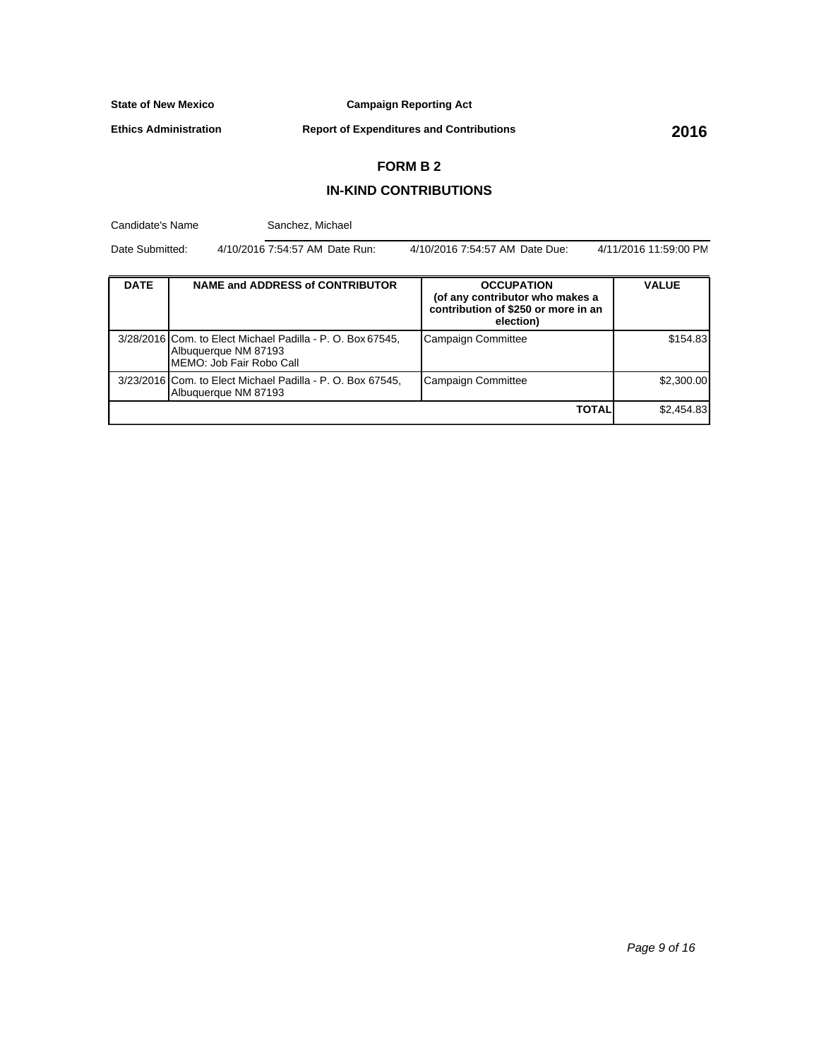**Campaign Reporting Act**

**Ethics Administration**

**Report of Expenditures and Contributions 2016**

## **FORM B 2**

## **IN-KIND CONTRIBUTIONS**

Candidate's Name DATE | NAME and ADDRESS of CONTRIBUTOR | OCCUPATION **(of any contributor who makes a contribution of \$250 or more in an election) VALUE** 3/28/2016 Com. to Elect Michael Padilla - P. O. Box 67545, Albuquerque NM 87193 MEMO: Job Fair Robo Call Campaign Committee **1998** | \$154.83 3/23/2016 Com. to Elect Michael Padilla - P. O. Box 67545, Albuquerque NM 87193 Campaign Committee **\$2,300.00 TOTAL** \$2,454.83 Date Submitted: 4/10/2016 7:54:57 AM Date Run: 4/10/2016 7:54:57 AM Date Due: 4/11/2016 11:59:00 PM Sanchez, Michael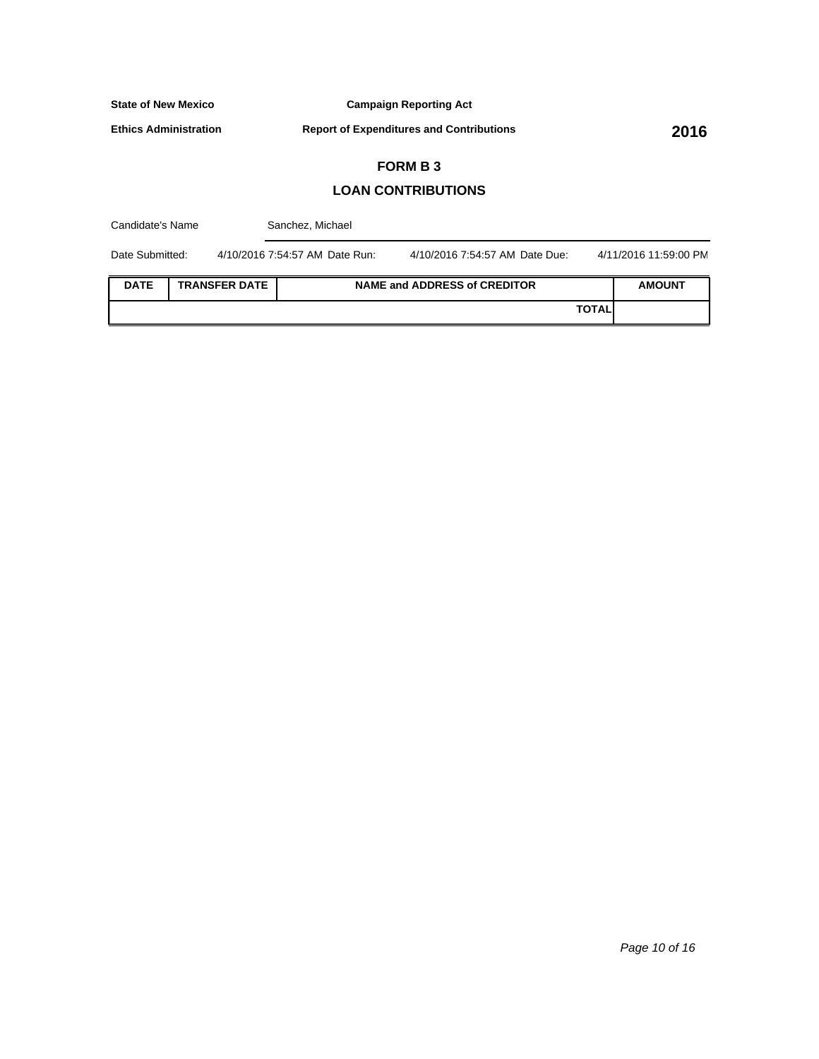**Campaign Reporting Act**

**Ethics Administration**

**Report of Expenditures and Contributions 2016**

# **FORM B 3**

## **LOAN CONTRIBUTIONS**

| Candidate's Name |  |                      | Sanchez, Michael               |                                |                       |
|------------------|--|----------------------|--------------------------------|--------------------------------|-----------------------|
| Date Submitted:  |  |                      | 4/10/2016 7:54:57 AM Date Run: | 4/10/2016 7:54:57 AM Date Due: | 4/11/2016 11:59:00 PM |
| <b>DATE</b>      |  | <b>TRANSFER DATE</b> |                                | NAME and ADDRESS of CREDITOR   | <b>AMOUNT</b>         |
|                  |  |                      |                                | <b>TOTAL</b>                   |                       |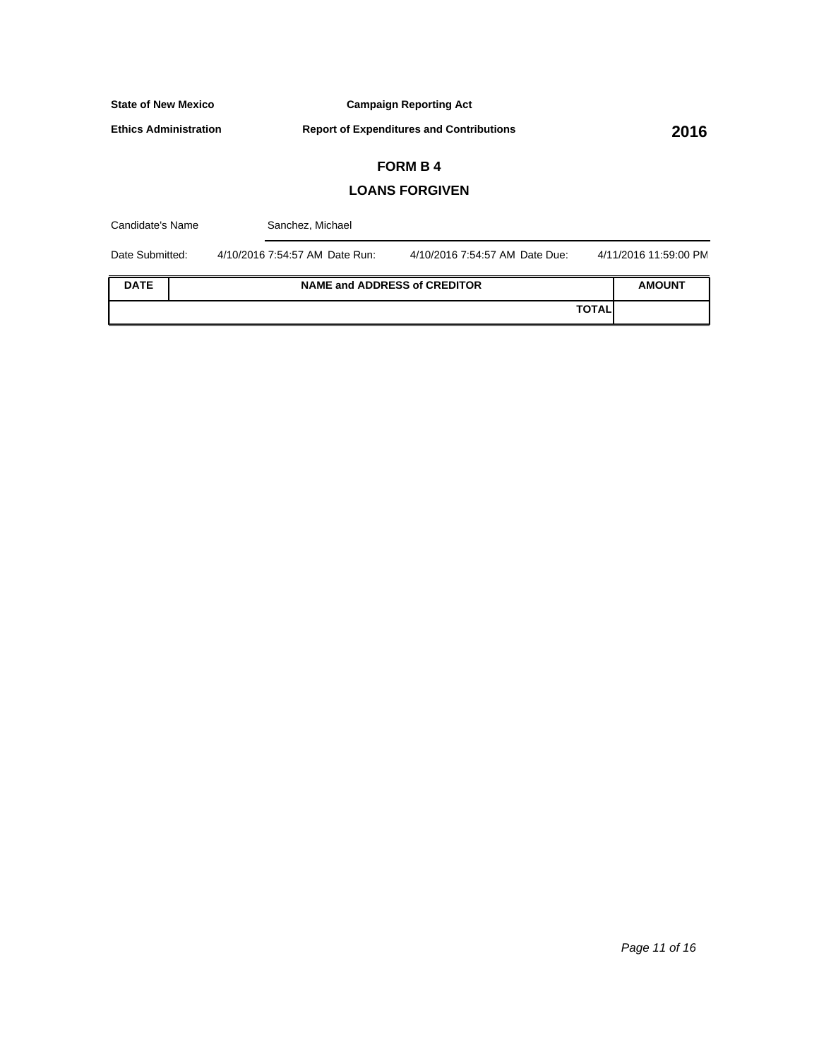**Campaign Reporting Act**

**Ethics Administration**

**Report of Expenditures and Contributions 2016**

# **FORM B 4**

## **LOANS FORGIVEN**

| Candidate's Name |  | Sanchez, Michael               |                                |              |                       |
|------------------|--|--------------------------------|--------------------------------|--------------|-----------------------|
| Date Submitted:  |  | 4/10/2016 7:54:57 AM Date Run: | 4/10/2016 7:54:57 AM Date Due: |              | 4/11/2016 11:59:00 PM |
| <b>DATE</b>      |  | NAME and ADDRESS of CREDITOR   |                                |              | <b>AMOUNT</b>         |
|                  |  |                                |                                | <b>TOTAL</b> |                       |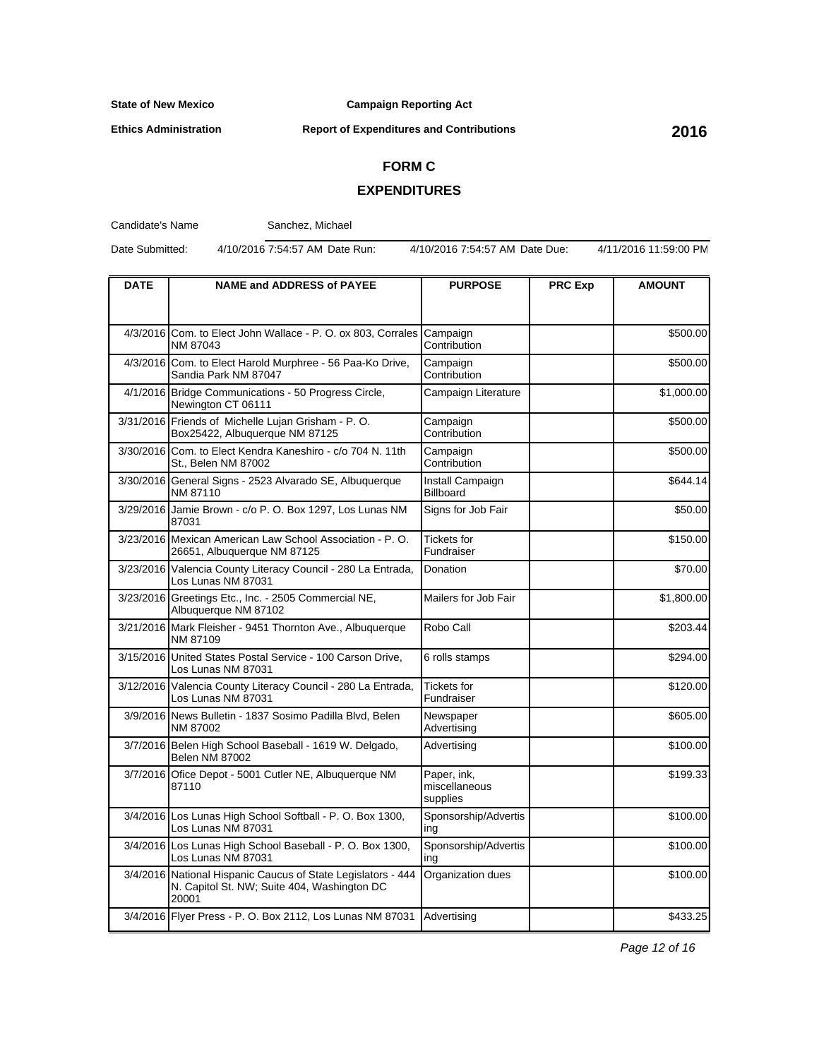**Ethics Administration**

## **Campaign Reporting Act**

# **Report of Expenditures and Contributions 2016**

# **FORM C**

## **EXPENDITURES**

Candidate's Name

Sanchez, Michael

Date Submitted: 4/10/2016 7:54:57 AM Date Run: 4/10/2016 7:54:57 AM Date Due: 4/11/2016 11:59:00 PM

| <b>DATE</b> | <b>NAME and ADDRESS of PAYEE</b>                                                                                     | <b>PURPOSE</b>                           | <b>PRC Exp</b> | <b>AMOUNT</b> |
|-------------|----------------------------------------------------------------------------------------------------------------------|------------------------------------------|----------------|---------------|
|             |                                                                                                                      |                                          |                |               |
| 4/3/2016    | Com. to Elect John Wallace - P. O. ox 803, Corrales Campaign<br>NM 87043                                             | Contribution                             |                | \$500.00      |
|             | 4/3/2016 Com. to Elect Harold Murphree - 56 Paa-Ko Drive,<br>Sandia Park NM 87047                                    | Campaign<br>Contribution                 |                | \$500.00      |
|             | 4/1/2016 Bridge Communications - 50 Progress Circle,<br>Newington CT 06111                                           | Campaign Literature                      |                | \$1,000.00    |
|             | 3/31/2016 Friends of Michelle Lujan Grisham - P.O.<br>Box25422, Albuquerque NM 87125                                 | Campaign<br>Contribution                 |                | \$500.00      |
|             | 3/30/2016 Com. to Elect Kendra Kaneshiro - c/o 704 N. 11th<br>St., Belen NM 87002                                    | Campaign<br>Contribution                 |                | \$500.00      |
|             | 3/30/2016 General Signs - 2523 Alvarado SE, Albuquerque<br>NM 87110                                                  | Install Campaign<br><b>Billboard</b>     |                | \$644.14      |
|             | 3/29/2016 Jamie Brown - c/o P. O. Box 1297, Los Lunas NM<br>87031                                                    | Signs for Job Fair                       |                | \$50.00       |
|             | 3/23/2016 Mexican American Law School Association - P.O.<br>26651, Albuquerque NM 87125                              | Tickets for<br>Fundraiser                |                | \$150.00      |
|             | 3/23/2016 Valencia County Literacy Council - 280 La Entrada,<br>Los Lunas NM 87031                                   | Donation                                 |                | \$70.00       |
|             | 3/23/2016 Greetings Etc., Inc. - 2505 Commercial NE,<br>Albuquerque NM 87102                                         | Mailers for Job Fair                     |                | \$1,800.00    |
|             | 3/21/2016 Mark Fleisher - 9451 Thornton Ave., Albuquerque<br>NM 87109                                                | Robo Call                                |                | \$203.44      |
|             | 3/15/2016 United States Postal Service - 100 Carson Drive,<br>Los Lunas NM 87031                                     | 6 rolls stamps                           |                | \$294.00      |
|             | 3/12/2016 Valencia County Literacy Council - 280 La Entrada,<br>Los Lunas NM 87031                                   | <b>Tickets for</b><br>Fundraiser         |                | \$120.00      |
|             | 3/9/2016 News Bulletin - 1837 Sosimo Padilla Blvd, Belen<br>NM 87002                                                 | Newspaper<br>Advertising                 |                | \$605.00      |
|             | 3/7/2016 Belen High School Baseball - 1619 W. Delgado,<br><b>Belen NM 87002</b>                                      | Advertising                              |                | \$100.00      |
|             | 3/7/2016 Ofice Depot - 5001 Cutler NE, Albuquerque NM<br>87110                                                       | Paper, ink,<br>miscellaneous<br>supplies |                | \$199.33      |
|             | 3/4/2016 Los Lunas High School Softball - P. O. Box 1300,<br>Los Lunas NM 87031                                      | Sponsorship/Advertis<br>ing              |                | \$100.00      |
|             | 3/4/2016 Los Lunas High School Baseball - P. O. Box 1300,<br>Los Lunas NM 87031                                      | Sponsorship/Advertis<br>ing              |                | \$100.00      |
|             | 3/4/2016 National Hispanic Caucus of State Legislators - 444<br>N. Capitol St. NW; Suite 404, Washington DC<br>20001 | Organization dues                        |                | \$100.00      |
|             | 3/4/2016 Flyer Press - P. O. Box 2112, Los Lunas NM 87031                                                            | Advertising                              |                | \$433.25      |

Page 12 of 16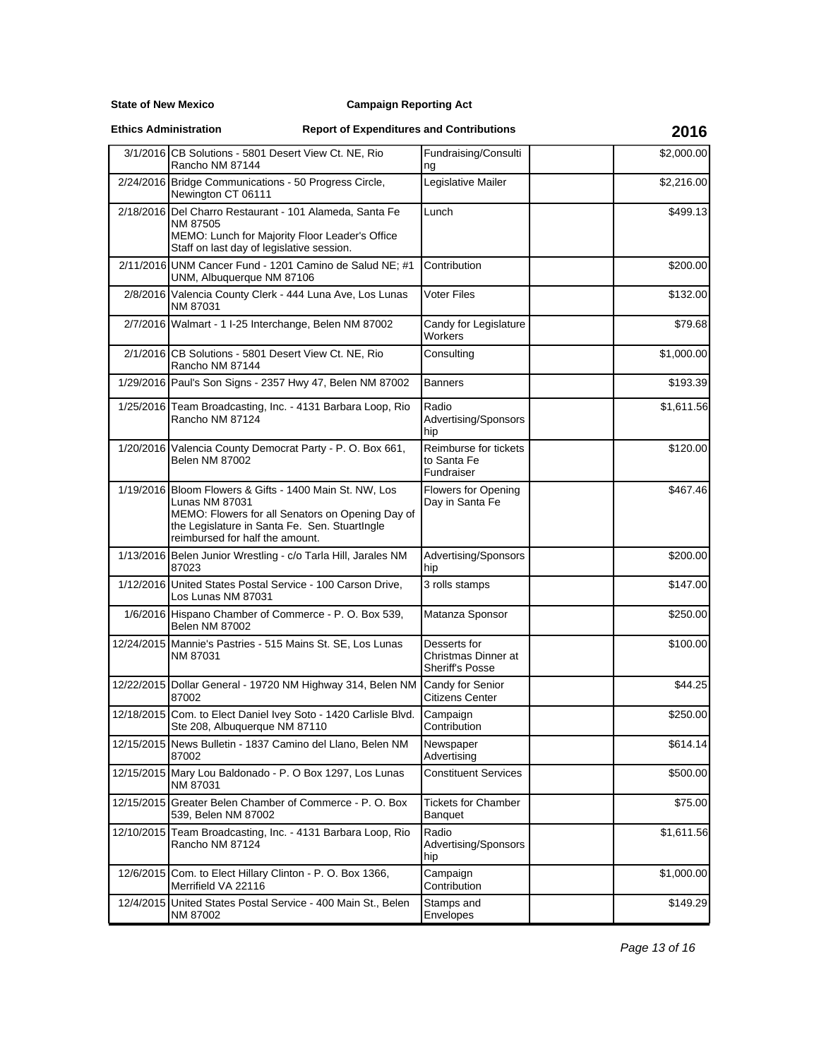**State of New Mexico**

### **Ethics Administration**

|            | 3/1/2016 CB Solutions - 5801 Desert View Ct. NE, Rio<br>Rancho NM 87144                                                                                                                                           | Fundraising/Consulti<br>ng                                    |  | \$2,000.00 |
|------------|-------------------------------------------------------------------------------------------------------------------------------------------------------------------------------------------------------------------|---------------------------------------------------------------|--|------------|
|            | 2/24/2016 Bridge Communications - 50 Progress Circle,<br>Newington CT 06111                                                                                                                                       | Legislative Mailer                                            |  | \$2,216.00 |
|            | 2/18/2016 Del Charro Restaurant - 101 Alameda, Santa Fe<br>NM 87505<br>MEMO: Lunch for Majority Floor Leader's Office<br>Staff on last day of legislative session.                                                | Lunch                                                         |  | \$499.13   |
|            | 2/11/2016 UNM Cancer Fund - 1201 Camino de Salud NE; #1<br>UNM, Albuquerque NM 87106                                                                                                                              | Contribution                                                  |  | \$200.00   |
|            | 2/8/2016 Valencia County Clerk - 444 Luna Ave, Los Lunas<br>NM 87031                                                                                                                                              | <b>Voter Files</b>                                            |  | \$132.00   |
|            | 2/7/2016 Walmart - 1 I-25 Interchange, Belen NM 87002                                                                                                                                                             | Candy for Legislature<br>Workers                              |  | \$79.68    |
|            | 2/1/2016 CB Solutions - 5801 Desert View Ct. NE, Rio<br>Rancho NM 87144                                                                                                                                           | Consulting                                                    |  | \$1,000.00 |
|            | 1/29/2016 Paul's Son Signs - 2357 Hwy 47, Belen NM 87002                                                                                                                                                          | <b>Banners</b>                                                |  | \$193.39   |
|            | 1/25/2016 Team Broadcasting, Inc. - 4131 Barbara Loop, Rio<br>Rancho NM 87124                                                                                                                                     | Radio<br>Advertising/Sponsors<br>hip                          |  | \$1,611.56 |
|            | 1/20/2016 Valencia County Democrat Party - P. O. Box 661,<br><b>Belen NM 87002</b>                                                                                                                                | Reimburse for tickets<br>to Santa Fe<br>Fundraiser            |  | \$120.00   |
|            | 1/19/2016 Bloom Flowers & Gifts - 1400 Main St. NW, Los<br>Lunas NM 87031<br>MEMO: Flowers for all Senators on Opening Day of<br>the Legislature in Santa Fe. Sen. StuartIngle<br>reimbursed for half the amount. | Flowers for Opening<br>Day in Santa Fe                        |  | \$467.46   |
|            | 1/13/2016 Belen Junior Wrestling - c/o Tarla Hill, Jarales NM<br>87023                                                                                                                                            | Advertising/Sponsors<br>hip                                   |  | \$200.00   |
|            | 1/12/2016 United States Postal Service - 100 Carson Drive,<br>Los Lunas NM 87031                                                                                                                                  | 3 rolls stamps                                                |  | \$147.00   |
|            | 1/6/2016 Hispano Chamber of Commerce - P. O. Box 539,<br><b>Belen NM 87002</b>                                                                                                                                    | Matanza Sponsor                                               |  | \$250.00   |
|            | 12/24/2015 Mannie's Pastries - 515 Mains St. SE, Los Lunas<br>NM 87031                                                                                                                                            | Desserts for<br>Christmas Dinner at<br><b>Sheriff's Posse</b> |  | \$100.00   |
|            | 12/22/2015 Dollar General - 19720 NM Highway 314, Belen NM<br>87002                                                                                                                                               | Candy for Senior<br><b>Citizens Center</b>                    |  | \$44.25    |
|            | 12/18/2015 Com. to Elect Daniel Ivey Soto - 1420 Carlisle Blvd.<br>Ste 208, Albuquerque NM 87110                                                                                                                  | Campaign<br>Contribution                                      |  | \$250.00   |
|            | 12/15/2015 News Bulletin - 1837 Camino del Llano, Belen NM<br>87002                                                                                                                                               | Newspaper<br>Advertising                                      |  | \$614.14   |
|            | 12/15/2015 Mary Lou Baldonado - P. O Box 1297, Los Lunas<br>NM 87031                                                                                                                                              | <b>Constituent Services</b>                                   |  | \$500.00   |
| 12/15/2015 | Greater Belen Chamber of Commerce - P. O. Box<br>539, Belen NM 87002                                                                                                                                              | <b>Tickets for Chamber</b><br><b>Banquet</b>                  |  | \$75.00    |
|            | 12/10/2015 Team Broadcasting, Inc. - 4131 Barbara Loop, Rio<br>Rancho NM 87124                                                                                                                                    | Radio<br>Advertising/Sponsors<br>hip                          |  | \$1,611.56 |
| 12/6/2015  | Com. to Elect Hillary Clinton - P. O. Box 1366,<br>Merrifield VA 22116                                                                                                                                            | Campaign<br>Contribution                                      |  | \$1,000.00 |
|            | 12/4/2015 United States Postal Service - 400 Main St., Belen<br>NM 87002                                                                                                                                          | Stamps and<br>Envelopes                                       |  | \$149.29   |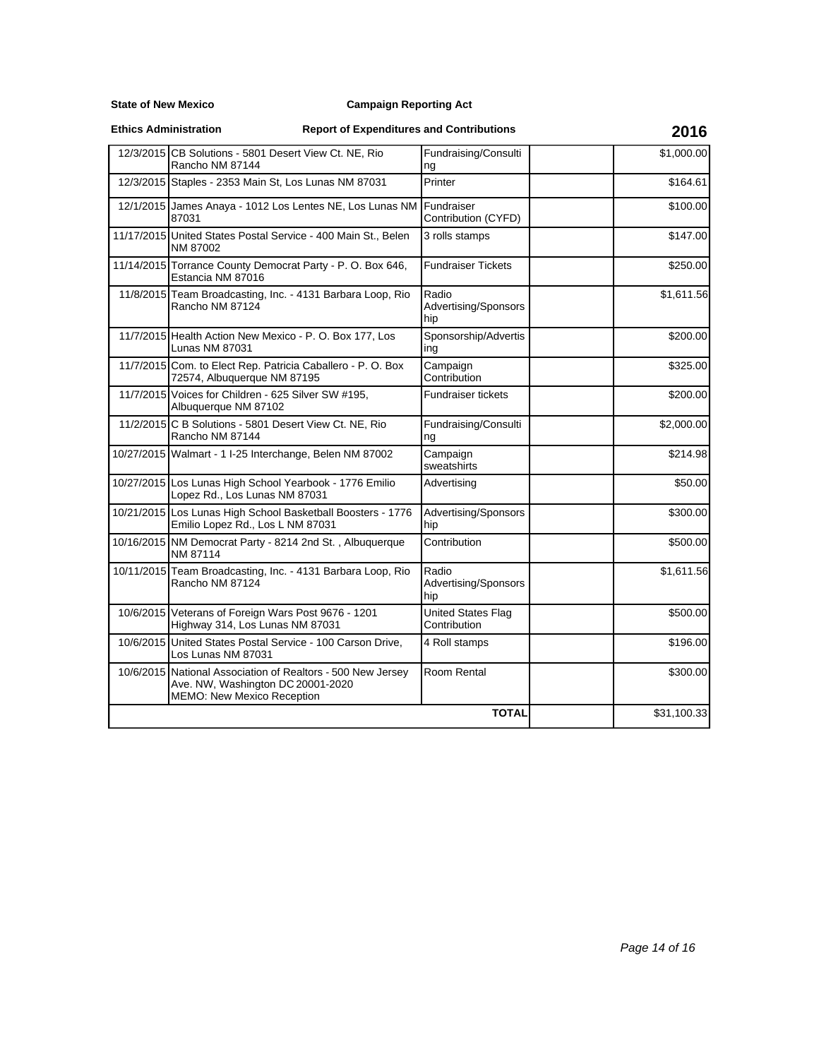**State of New Mexico**

### **Ethics Administration**

| 12/3/2015 CB Solutions - 5801 Desert View Ct. NE, Rio                                                                          | Fundraising/Consulti                      | \$1,000.00 |
|--------------------------------------------------------------------------------------------------------------------------------|-------------------------------------------|------------|
| Rancho NM 87144                                                                                                                | ng                                        |            |
| 12/3/2015 Staples - 2353 Main St, Los Lunas NM 87031                                                                           | Printer                                   | \$164.61   |
| 12/1/2015 James Anaya - 1012 Los Lentes NE, Los Lunas NM<br>87031                                                              | Fundraiser<br>Contribution (CYFD)         | \$100.00   |
| 11/17/2015 United States Postal Service - 400 Main St., Belen<br>NM 87002                                                      | 3 rolls stamps                            | \$147.00   |
| 11/14/2015 Torrance County Democrat Party - P. O. Box 646,<br>Estancia NM 87016                                                | <b>Fundraiser Tickets</b>                 | \$250.00   |
| 11/8/2015 Team Broadcasting, Inc. - 4131 Barbara Loop, Rio<br>Rancho NM 87124                                                  | Radio<br>Advertising/Sponsors<br>hip      | \$1,611.56 |
| 11/7/2015 Health Action New Mexico - P. O. Box 177, Los<br>Lunas NM 87031                                                      | Sponsorship/Advertis<br>ing               | \$200.00   |
| 11/7/2015 Com. to Elect Rep. Patricia Caballero - P. O. Box<br>72574, Albuquerque NM 87195                                     | Campaign<br>Contribution                  | \$325.00   |
| 11/7/2015 Voices for Children - 625 Silver SW #195,<br>Albuquerque NM 87102                                                    | <b>Fundraiser tickets</b>                 | \$200.00   |
| 11/2/2015 C B Solutions - 5801 Desert View Ct. NE, Rio<br>Rancho NM 87144                                                      | Fundraising/Consulti<br>ng                | \$2,000.00 |
| 10/27/2015 Walmart - 1 I-25 Interchange, Belen NM 87002                                                                        | Campaign<br>sweatshirts                   | \$214.98   |
| 10/27/2015 Los Lunas High School Yearbook - 1776 Emilio<br>Lopez Rd., Los Lunas NM 87031                                       | Advertising                               | \$50.00    |
| 10/21/2015 Los Lunas High School Basketball Boosters - 1776<br>Emilio Lopez Rd., Los L NM 87031                                | Advertising/Sponsors<br>hip               | \$300.00   |
| 10/16/2015 NM Democrat Party - 8214 2nd St., Albuquerque<br>NM 87114                                                           | Contribution                              | \$500.00   |
| 10/11/2015 Team Broadcasting, Inc. - 4131 Barbara Loop, Rio<br>Rancho NM 87124                                                 | Radio<br>Advertising/Sponsors<br>hip      | \$1,611.56 |
| 10/6/2015 Veterans of Foreign Wars Post 9676 - 1201<br>Highway 314, Los Lunas NM 87031                                         | <b>United States Flag</b><br>Contribution | \$500.00   |
| 10/6/2015 United States Postal Service - 100 Carson Drive,<br>Los Lunas NM 87031                                               | 4 Roll stamps                             | \$196.00   |
| 10/6/2015 National Association of Realtors - 500 New Jersey<br>Ave. NW, Washington DC 20001-2020<br>MEMO: New Mexico Reception | Room Rental                               | \$300.00   |
|                                                                                                                                | \$31,100.33                               |            |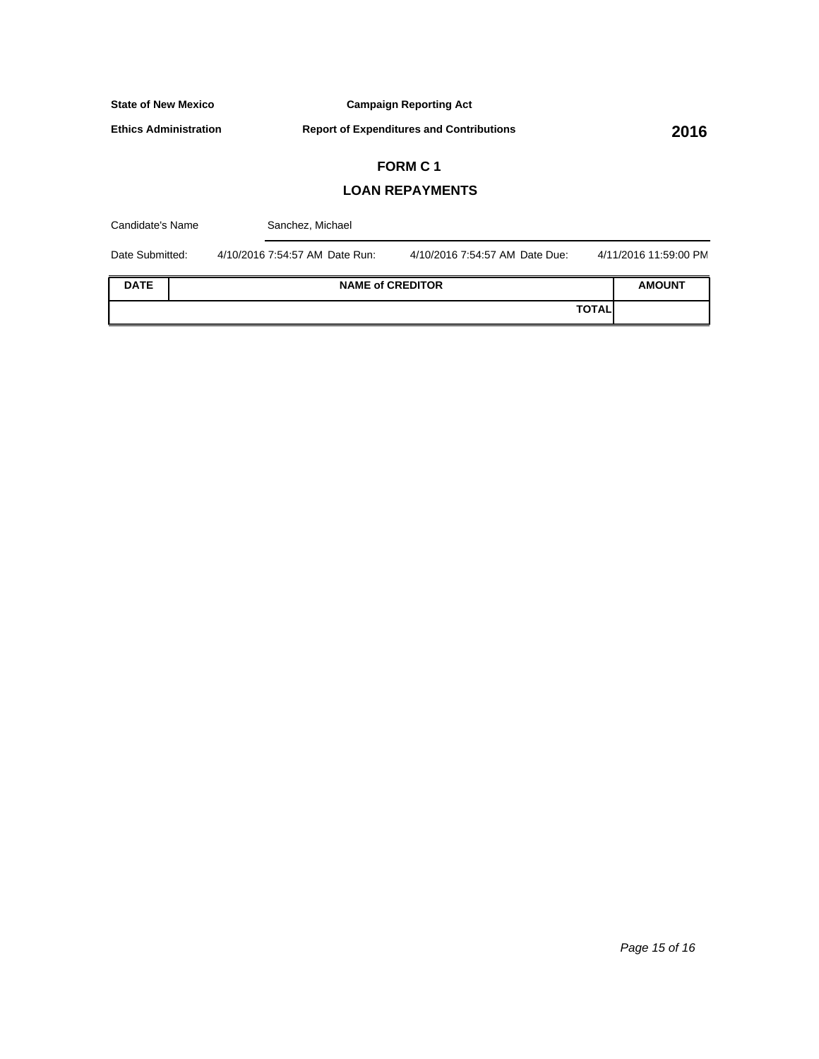**Campaign Reporting Act**

**Ethics Administration**

**Report of Expenditures and Contributions 2016**

# **FORM C 1**

## **LOAN REPAYMENTS**

| Candidate's Name |  | Sanchez, Michael               |                                |              |                       |
|------------------|--|--------------------------------|--------------------------------|--------------|-----------------------|
| Date Submitted:  |  | 4/10/2016 7:54:57 AM Date Run: | 4/10/2016 7:54:57 AM Date Due: |              | 4/11/2016 11:59:00 PM |
| <b>DATE</b>      |  | <b>NAME of CREDITOR</b>        |                                |              | <b>AMOUNT</b>         |
|                  |  |                                |                                | <b>TOTAL</b> |                       |